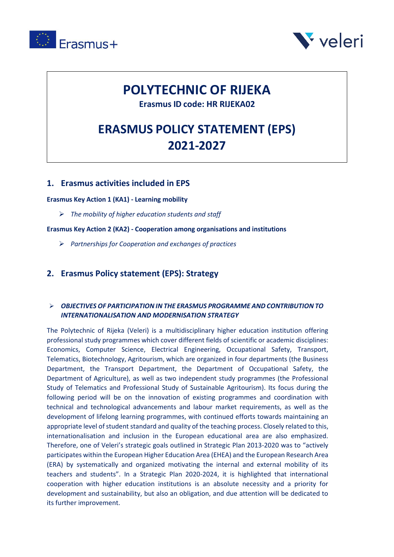



# **POLYTECHNIC OF RIJEKA**

**Erasmus ID code: HR RIJEKA02**

# **ERASMUS POLICY STATEMENT (EPS) 2021-2027**

## **1. Erasmus activities included in EPS**

**Erasmus Key Action 1 (KA1) - Learning mobility**

➢ *The mobility of higher education students and staff*

**Erasmus Key Action 2 (KA2) - Cooperation among organisations and institutions**

➢ *Partnerships for Cooperation and exchanges of practices*

### **2. Erasmus Policy statement (EPS): Strategy**

#### ➢ *OBJECTIVES OF PARTICIPATION IN THE ERASMUS PROGRAMME AND CONTRIBUTION TO INTERNATIONALISATION AND MODERNISATION STRATEGY*

The Polytechnic of Rijeka (Veleri) is a multidisciplinary higher education institution offering professional study programmes which cover different fields of scientific or academic disciplines: Economics, Computer Science, Electrical Engineering, Occupational Safety, Transport, Telematics, Biotechnology, Agritourism, which are organized in four departments (the Business Department, the Transport Department, the Department of Occupational Safety, the Department of Agriculture), as well as two independent study programmes (the Professional Study of Telematics and Professional Study of Sustainable Agritourism). Its focus during the following period will be on the innovation of existing programmes and coordination with technical and technological advancements and labour market requirements, as well as the development of lifelong learning programmes, with continued efforts towards maintaining an appropriate level of student standard and quality of the teaching process. Closely related to this, internationalisation and inclusion in the European educational area are also emphasized. Therefore, one of Veleri's strategic goals outlined in Strategic Plan 2013-2020 was to "actively participates within the European Higher Education Area (EHEA) and the European Research Area (ERA) by systematically and organized motivating the internal and external mobility of its teachers and students". In a Strategic Plan 2020-2024, it is highlighted that international cooperation with higher education institutions is an absolute necessity and a priority for development and sustainability, but also an obligation, and due attention will be dedicated to its further improvement.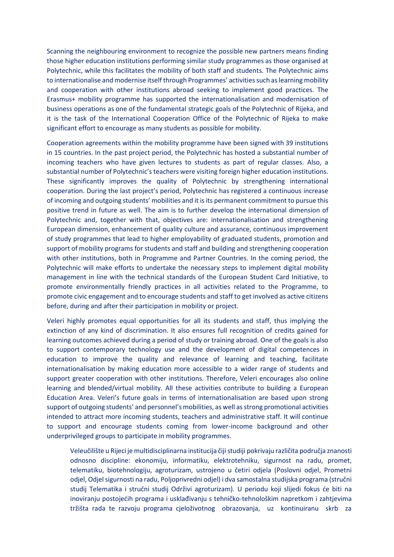Scanning the neighbouring environment to recognize the possible new partners means finding those higher education institutions performing similar study programmes as those organised at Polytechnic, while this facilitates the mobility of both staff and students. The Polytechnic aims to internationalise and modernise itself through Programmes' activities such as learning mobility and cooperation with other institutions abroad seeking to implement good practices. The Erasmus+ mobility programme has supported the internationalisation and modernisation of business operations as one of the fundamental strategic goals of the Polytechnic of Rijeka, and it is the task of the International Cooperation Office of the Polytechnic of Rijeka to make significant effort to encourage as many students as possible for mobility.

Cooperation agreements within the mobility programme have been signed with 39 institutions in 15 countries. In the past project period, the Polytechnic has hosted a substantial number of incoming teachers who have given lectures to students as part of regular classes. Also, a substantial number of Polytechnic's teachers were visiting foreign higher education institutions. These significantly improves the quality of Polytechnic by strengthening international cooperation. During the last project's period, Polytechnic has registered a continuous increase of incoming and outgoing students' mobilities and it is its permanent commitment to pursue this positive trend in future as well. The aim is to further develop the international dimension of Polytechnic and, together with that, objectives are: internationalisation and strengthening European dimension, enhancement of quality culture and assurance, continuous improvement of study programmes that lead to higher employability of graduated students, promotion and support of mobility programs for students and staff and building and strengthening cooperation with other institutions, both in Programme and Partner Countries. In the coming period, the Polytechnic will make efforts to undertake the necessary steps to implement digital mobility management in line with the technical standards of the European Student Card Initiative, to promote environmentally friendly practices in all activities related to the Programme, to promote civic engagement and to encourage students and staff to get involved as active citizens before, during and after their participation in mobility or project.

Veleri highly promotes equal opportunities for all its students and staff, thus implying the extinction of any kind of discrimination. It also ensures full recognition of credits gained for learning outcomes achieved during a period of study or training abroad. One of the goals is also to support contemporary technology use and the development of digital competences in education to improve the quality and relevance of learning and teaching, facilitate internationalisation by making education more accessible to a wider range of students and support greater cooperation with other institutions. Therefore, Veleri encourages also online learning and blended/virtual mobility. All these activities contribute to building a European Education Area. Veleri's future goals in terms of internationalisation are based upon strong support of outgoing students' and personnel's mobilities, as well as strong promotional activities intended to attract more incoming students, teachers and administrative staff. It will continue to support and encourage students coming from lower-income background and other underprivileged groups to participate in mobility programmes.

Veleučilište u Rijeci je multidisciplinarna institucija čiji studiji pokrivaju različita područja znanosti odnosno discipline: ekonomiju, informatiku, elektrotehniku, sigurnost na radu, promet, telematiku, biotehnologiju, agroturizam, ustrojeno u četiri odjela (Poslovni odjel, Prometni odjel, Odjel sigurnosti na radu, Poljoprivredni odjel) i dva samostalna studijska programa (stručni studij Telematika i stručni studij Održivi agroturizam). U periodu koji slijedi fokus će biti na inoviranju postojećih programa i usklađivanju s tehničko-tehnološkim napretkom i zahtjevima tržišta rada te razvoju programa cjeloživotnog obrazovanja, uz kontinuiranu skrb za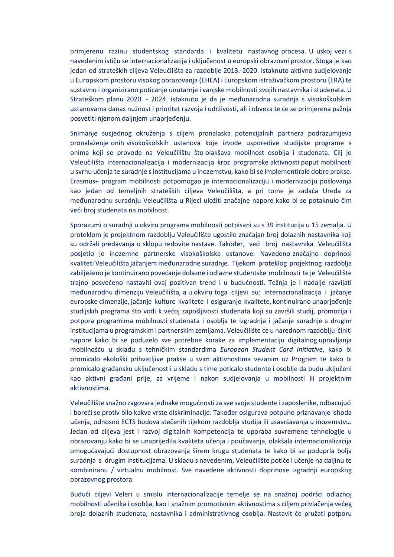primjerenu razinu studentskog standarda i kvalitetu nastavnog procesa. U uskoj vezi s navedenim ističu se internacionalizacija i uključenost u europski obrazovni prostor. Stoga je kao jedan od strateških ciljeva Veleučilišta za razdoblje 2013.-2020. istaknuto aktivno sudjelovanje u Europskom prostoru visokog obrazovanja (EHEA) i Europskom istraživačkom prostoru (ERA) te sustavno i organizirano poticanje unutarnje i vanjske mobilnosti svojih nastavnika i studenata. U Strateškom planu 2020. - 2024. istaknuto je da je međunarodna suradnja s visokoškolskim ustanovama danas nužnost i prioritet razvoja i održivosti, ali i obveza te će se primjerena pažnja posvetiti njenom daljnjem unaprjeđenju.

Snimanje susjednog okruženja s ciljem pronalaska potencijalnih partnera podrazumijeva pronalaženje onih visokoškolskih ustanova koje izvode usporedive studijske programe s onima koji se provode na Veleučilištu što olakšava mobilnost osoblja i studenata. Cilj je Veleučilišta internacionalizacija i modernizacija kroz programske aktivnosti poput mobilnosti u svrhu učenja te suradnje s institucijama u inozemstvu, kako bi se implementirale dobre prakse. Erasmus+ program mobilnosti potpomogao je internacionalizaciju i modernizaciju poslovanja kao jedan od temeljnih strateških ciljeva Veleučilišta, a pri tome je zadaća Ureda za međunarodnu suradnju Veleučilišta u Rijeci uložiti značajne napore kako bi se potaknulo čim veći broj studenata na mobilnost.

Sporazumi o suradnji u okviru programa mobilnosti potpisani su s 39 institucija u 15 zemalja. U proteklom je projektnom razdoblju Veleučilište ugostilo značajan broj dolaznih nastavnika koji su održali predavanja u sklopu redovite nastave. Također, veći broj nastavnika Veleučilišta posjetio je inozemne partnerske visokoškolske ustanove. Navedeno značajno doprinosi kvaliteti Veleučilišta jačanjem međunarodne suradnje. Tijekom proteklog projektnog razdoblja zabilježeno je kontinuirano povećanje dolazne i odlazne studentske mobilnosti te je Veleučilište trajno posvećeno nastaviti ovaj pozitivan trend i u budućnosti. Težnja je i nadalje razvijati međunarodnu dimenziju Veleučilišta, a u okviru toga ciljevi su: internacionalizacija i jačanje europske dimenzije, jačanje kulture kvalitete i osiguranje kvalitete, kontinuirano unaprjeđenje studijskih programa što vodi k većoj zapošljivosti studenata koji su završili studij, promocija i potpora programima mobilnosti studenata i osoblja te izgradnja i jačanje suradnje s drugim institucijama u programskim i partnerskim zemljama. Veleučilište će u narednom razdoblju činiti napore kako bi se poduzelo sve potrebne korake za implementaciju digitalnog upravljanja mobilnošću u skladu s tehničkim standardima *European Student Card Initiative*, kako bi promicalo ekološki prihvatljive prakse u svim aktivnostima vezanim uz Program te kako bi promicalo građansku uključenost i u skladu s time poticalo studente i osoblje da budu uključeni kao aktivni građani prije, za vrijeme i nakon sudjelovanja u mobilnosti ili projektnim aktivnostima.

Veleučilište snažno zagovara jednake mogućnosti za sve svoje studente i zaposlenike, odbacujući i boreći se protiv bilo kakve vrste diskriminacije. Također osigurava potpuno priznavanje ishoda učenja, odnosno ECTS bodova stečenih tijekom razdoblja studija ili usavršavanja u inozemstvu. Jedan od ciljeva jest i razvoj digitalnih kompetencija te uporaba suvremene tehnologije u obrazovanju kako bi se unaprijedila kvaliteta učenja i poučavanja, olakšala internacionalizacija omogućavajući dostupnost obrazovanja širem krugu studenata te kako bi se poduprla bolja suradnja s drugim institucijama. U skladu s navedenim, Veleučilište potiče i učenje na daljinu te kombiniranu / virtualnu mobilnost. Sve navedene aktivnosti doprinose izgradnji europskog obrazovnog prostora.

Budući ciljevi Veleri u smislu internacionalizacije temelje se na snažnoj podršci odlaznoj mobilnosti učenika i osoblja, kao i snažnim promotivnim aktivnostima s ciljem privlačenja većeg broja dolaznih studenata, nastavnika i administrativnog osoblja. Nastavit će pružati potporu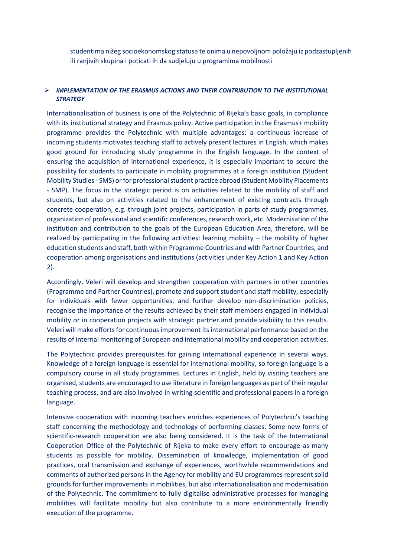studentima nižeg socioekonomskog statusa te onima u nepovoljnom položaju iz podzastupljenih ili ranjivih skupina i poticati ih da sudjeluju u programima mobilnosti

#### ➢ *IMPLEMENTATION OF THE ERASMUS ACTIONS AND THEIR CONTRIBUTION TO THE INSTITUTIONAL STRATEGY*

Internationalisation of business is one of the Polytechnic of Rijeka's basic goals, in compliance with its institutional strategy and Erasmus policy. Active participation in the Erasmus+ mobility programme provides the Polytechnic with multiple advantages: a continuous increase of incoming students motivates teaching staff to actively present lectures in English, which makes good ground for introducing study programme in the English language. In the context of ensuring the acquisition of international experience, it is especially important to secure the possibility for students to participate in mobility programmes at a foreign institution (Student Mobility Studies - SMS) or for professional student practice abroad (Student Mobility Placements - SMP). The focus in the strategic period is on activities related to the mobility of staff and students, but also on activities related to the enhancement of existing contracts through concrete cooperation, e.g. through joint projects, participation in parts of study programmes, organization of professional and scientific conferences, research work, etc. Modernisation of the institution and contribution to the goals of the European Education Area, therefore, will be realized by participating in the following activities: learning mobility – the mobility of higher education students and staff, both within Programme Countries and with Partner Countries, and cooperation among organisations and institutions (activities under Key Action 1 and Key Action 2).

Accordingly, Veleri will develop and strengthen cooperation with partners in other countries (Programme and Partner Countries), promote and support student and staff mobility, especially for individuals with fewer opportunities, and further develop non-discrimination policies, recognise the importance of the results achieved by their staff members engaged in individual mobility or in cooperation projects with strategic partner and provide visibility to this results. Veleri will make efforts for continuous improvement its international performance based on the results of internal monitoring of European and international mobility and cooperation activities.

The Polytechnic provides prerequisites for gaining international experience in several ways. Knowledge of a foreign language is essential for international mobility, so foreign language is a compulsory course in all study programmes. Lectures in English, held by visiting teachers are organised, students are encouraged to use literature in foreign languages as part of their regular teaching process, and are also involved in writing scientific and professional papers in a foreign language.

Intensive cooperation with incoming teachers enriches experiences of Polytechnic's teaching staff concerning the methodology and technology of performing classes. Some new forms of scientific-research cooperation are also being considered. It is the task of the International Cooperation Office of the Polytechnic of Rijeka to make every effort to encourage as many students as possible for mobility. Dissemination of knowledge, implementation of good practices, oral transmission and exchange of experiences, worthwhile recommendations and comments of authorized persons in the Agency for mobility and EU programmes represent solid grounds for further improvements in mobilities, but also internationalisation and modernisation of the Polytechnic. The commitment to fully digitalise administrative processes for managing mobilities will facilitate mobility but also contribute to a more environmentally friendly execution of the programme.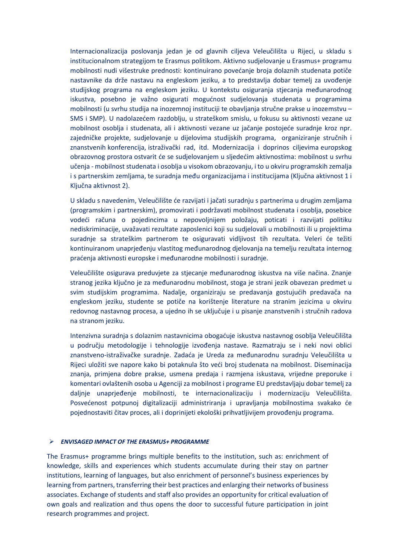Internacionalizacija poslovanja jedan je od glavnih ciljeva Veleučilišta u Rijeci, u skladu s institucionalnom strategijom te Erasmus politikom. Aktivno sudjelovanje u Erasmus+ programu mobilnosti nudi višestruke prednosti: kontinuirano povećanje broja dolaznih studenata potiče nastavnike da drže nastavu na engleskom jeziku, a to predstavlja dobar temelj za uvođenje studijskog programa na engleskom jeziku. U kontekstu osiguranja stjecanja međunarodnog iskustva, posebno je važno osigurati mogućnost sudjelovanja studenata u programima mobilnosti (u svrhu studija na inozemnoj instituciji te obavljanja stručne prakse u inozemstvu – SMS i SMP). U nadolazećem razdoblju, u strateškom smislu, u fokusu su aktivnosti vezane uz mobilnost osoblja i studenata, ali i aktivnosti vezane uz jačanje postojeće suradnje kroz npr. zajedničke projekte, sudjelovanje u dijelovima studijskih programa, organiziranje stručnih i znanstvenih konferencija, istraživački rad, itd. Modernizacija i doprinos ciljevima europskog obrazovnog prostora ostvarit će se sudjelovanjem u sljedećim aktivnostima: mobilnost u svrhu učenja - mobilnost studenata i osoblja u visokom obrazovanju, i to u okviru programskih zemalja i s partnerskim zemljama, te suradnja među organizacijama i institucijama (Ključna aktivnost 1 i Ključna aktivnost 2).

U skladu s navedenim, Veleučilište će razvijati i jačati suradnju s partnerima u drugim zemljama (programskim i partnerskim), promovirati i podržavati mobilnost studenata i osoblja, posebice vodeći računa o pojedincima u nepovoljnijem položaju, poticati i razvijati politiku nediskriminacije, uvažavati rezultate zaposlenici koji su sudjelovali u mobilnosti ili u projektima suradnje sa strateškim partnerom te osiguravati vidljivost tih rezultata. Veleri će težiti kontinuiranom unaprjeđenju vlastitog međunarodnog djelovanja na temelju rezultata internog praćenja aktivnosti europske i međunarodne mobilnosti i suradnje.

Veleučilište osigurava preduvjete za stjecanje međunarodnog iskustva na više načina. Znanje stranog jezika ključno je za međunarodnu mobilnost, stoga je strani jezik obavezan predmet u svim studijskim programima. Nadalje, organiziraju se predavanja gostujućih predavača na engleskom jeziku, studente se potiče na korištenje literature na stranim jezicima u okviru redovnog nastavnog procesa, a ujedno ih se uključuje i u pisanje znanstvenih i stručnih radova na stranom jeziku.

Intenzivna suradnja s dolaznim nastavnicima obogaćuje iskustva nastavnog osoblja Veleučilišta u području metodologije i tehnologije izvođenja nastave. Razmatraju se i neki novi oblici znanstveno-istraživačke suradnje. Zadaća je Ureda za međunarodnu suradnju Veleučilišta u Rijeci uložiti sve napore kako bi potaknula što veći broj studenata na mobilnost. Diseminacija znanja, primjena dobre prakse, usmena predaja i razmjena iskustava, vrijedne preporuke i komentari ovlaštenih osoba u Agenciji za mobilnost i programe EU predstavljaju dobar temelj za daljnje unaprjeđenje mobilnosti, te internacionalizaciju i modernizaciju Veleučilišta. Posvećenost potpunoj digitalizaciji administriranja i upravljanja mobilnostima svakako će pojednostaviti čitav proces, ali i doprinijeti ekološki prihvatljivijem provođenju programa.

#### ➢ *ENVISAGED IMPACT OF THE ERASMUS+ PROGRAMME*

The Erasmus+ programme brings multiple benefits to the institution, such as: enrichment of knowledge, skills and experiences which students accumulate during their stay on partner institutions, learning of languages, but also enrichment of personnel's business experiences by learning from partners, transferring their best practices and enlarging their networks of business associates. Exchange of students and staff also provides an opportunity for critical evaluation of own goals and realization and thus opens the door to successful future participation in joint research programmes and project.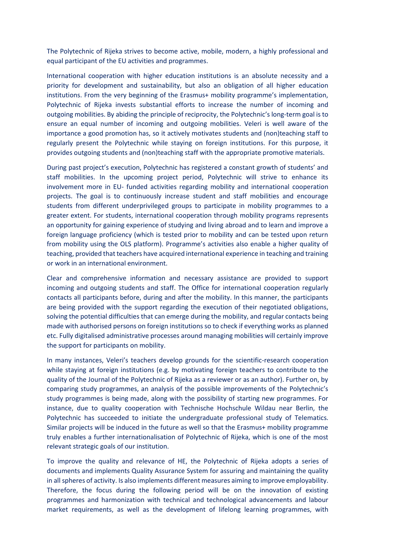The Polytechnic of Rijeka strives to become active, mobile, modern, a highly professional and equal participant of the EU activities and programmes.

International cooperation with higher education institutions is an absolute necessity and a priority for development and sustainability, but also an obligation of all higher education institutions. From the very beginning of the Erasmus+ mobility programme's implementation, Polytechnic of Rijeka invests substantial efforts to increase the number of incoming and outgoing mobilities. By abiding the principle of reciprocity, the Polytechnic's long-term goal is to ensure an equal number of incoming and outgoing mobilities. Veleri is well aware of the importance a good promotion has, so it actively motivates students and (non)teaching staff to regularly present the Polytechnic while staying on foreign institutions. For this purpose, it provides outgoing students and (non)teaching staff with the appropriate promotive materials.

During past project's execution, Polytechnic has registered a constant growth of students' and staff mobilities. In the upcoming project period, Polytechnic will strive to enhance its involvement more in EU- funded activities regarding mobility and international cooperation projects. The goal is to continuously increase student and staff mobilities and encourage students from different underprivileged groups to participate in mobility programmes to a greater extent. For students, international cooperation through mobility programs represents an opportunity for gaining experience of studying and living abroad and to learn and improve a foreign language proficiency (which is tested prior to mobility and can be tested upon return from mobility using the OLS platform). Programme's activities also enable a higher quality of teaching, provided that teachers have acquired international experience in teaching and training or work in an international environment.

Clear and comprehensive information and necessary assistance are provided to support incoming and outgoing students and staff. The Office for international cooperation regularly contacts all participants before, during and after the mobility. In this manner, the participants are being provided with the support regarding the execution of their negotiated obligations, solving the potential difficulties that can emerge during the mobility, and regular contacts being made with authorised persons on foreign institutions so to check if everything works as planned etc. Fully digitalised administrative processes around managing mobilities will certainly improve the support for participants on mobility.

In many instances, Veleri's teachers develop grounds for the scientific-research cooperation while staying at foreign institutions (e.g. by motivating foreign teachers to contribute to the quality of the Journal of the Polytechnic of Rijeka as a reviewer or as an author). Further on, by comparing study programmes, an analysis of the possible improvements of the Polytechnic's study programmes is being made, along with the possibility of starting new programmes. For instance, due to quality cooperation with Technische Hochschule Wildau near Berlin, the Polytechnic has succeeded to initiate the undergraduate professional study of Telematics. Similar projects will be induced in the future as well so that the Erasmus+ mobility programme truly enables a further internationalisation of Polytechnic of Rijeka, which is one of the most relevant strategic goals of our institution.

To improve the quality and relevance of HE, the Polytechnic of Rijeka adopts a series of documents and implements Quality Assurance System for assuring and maintaining the quality in all spheres of activity. Is also implements different measures aiming to improve employability. Therefore, the focus during the following period will be on the innovation of existing programmes and harmonization with technical and technological advancements and labour market requirements, as well as the development of lifelong learning programmes, with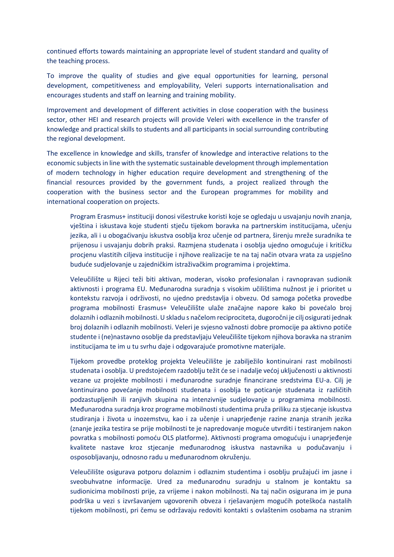continued efforts towards maintaining an appropriate level of student standard and quality of the teaching process.

To improve the quality of studies and give equal opportunities for learning, personal development, competitiveness and employability, Veleri supports internationalisation and encourages students and staff on learning and training mobility.

Improvement and development of different activities in close cooperation with the business sector, other HEI and research projects will provide Veleri with excellence in the transfer of knowledge and practical skills to students and all participants in social surrounding contributing the regional development.

The excellence in knowledge and skills, transfer of knowledge and interactive relations to the economic subjects in line with the systematic sustainable development through implementation of modern technology in higher education require development and strengthening of the financial resources provided by the government funds, a project realized through the cooperation with the business sector and the European programmes for mobility and international cooperation on projects.

Program Erasmus+ instituciji donosi višestruke koristi koje se ogledaju u usvajanju novih znanja, vještina i iskustava koje studenti stječu tijekom boravka na partnerskim institucijama, učenju jezika, ali i u obogaćivanju iskustva osoblja kroz učenje od partnera, širenju mreže suradnika te prijenosu i usvajanju dobrih praksi. Razmjena studenata i osoblja ujedno omogućuje i kritičku procjenu vlastitih ciljeva institucije i njihove realizacije te na taj način otvara vrata za uspješno buduće sudjelovanje u zajedničkim istraživačkim programima i projektima.

Veleučilište u Rijeci teži biti aktivan, moderan, visoko profesionalan i ravnopravan sudionik aktivnosti i programa EU. Međunarodna suradnja s visokim učilištima nužnost je i prioritet u kontekstu razvoja i održivosti, no ujedno predstavlja i obvezu. Od samoga početka provedbe programa mobilnosti Erasmus+ Veleučilište ulaže značajne napore kako bi povećalo broj dolaznih i odlaznih mobilnosti. U skladu s načelom reciprociteta, dugoročni je cilj osigurati jednak broj dolaznih i odlaznih mobilnosti. Veleri je svjesno važnosti dobre promocije pa aktivno potiče studente i (ne)nastavno osoblje da predstavljaju Veleučilište tijekom njihova boravka na stranim institucijama te im u tu svrhu daje i odgovarajuće promotivne materijale.

Tijekom provedbe proteklog projekta Veleučilište je zabilježilo kontinuirani rast mobilnosti studenata i osoblja. U predstojećem razdoblju težit će se i nadalje većoj uključenosti u aktivnosti vezane uz projekte mobilnosti i međunarodne suradnje financirane sredstvima EU-a. Cilj je kontinuirano povećanje mobilnosti studenata i osoblja te poticanje studenata iz različitih podzastupljenih ili ranjivih skupina na intenzivnije sudjelovanje u programima mobilnosti. Međunarodna suradnja kroz programe mobilnosti studentima pruža priliku za stjecanje iskustva studiranja i života u inozemstvu, kao i za učenje i unaprjeđenje razine znanja stranih jezika (znanje jezika testira se prije mobilnosti te je napredovanje moguće utvrditi i testiranjem nakon povratka s mobilnosti pomoću OLS platforme). Aktivnosti programa omogućuju i unaprjeđenje kvalitete nastave kroz stjecanje međunarodnog iskustva nastavnika u podučavanju i osposobljavanju, odnosno radu u međunarodnom okruženju.

Veleučilište osigurava potporu dolaznim i odlaznim studentima i osoblju pružajući im jasne i sveobuhvatne informacije. Ured za međunarodnu suradnju u stalnom je kontaktu sa sudionicima mobilnosti prije, za vrijeme i nakon mobilnosti. Na taj način osigurana im je puna podrška u vezi s izvršavanjem ugovorenih obveza i rješavanjem mogućih poteškoća nastalih tijekom mobilnosti, pri čemu se održavaju redoviti kontakti s ovlaštenim osobama na stranim